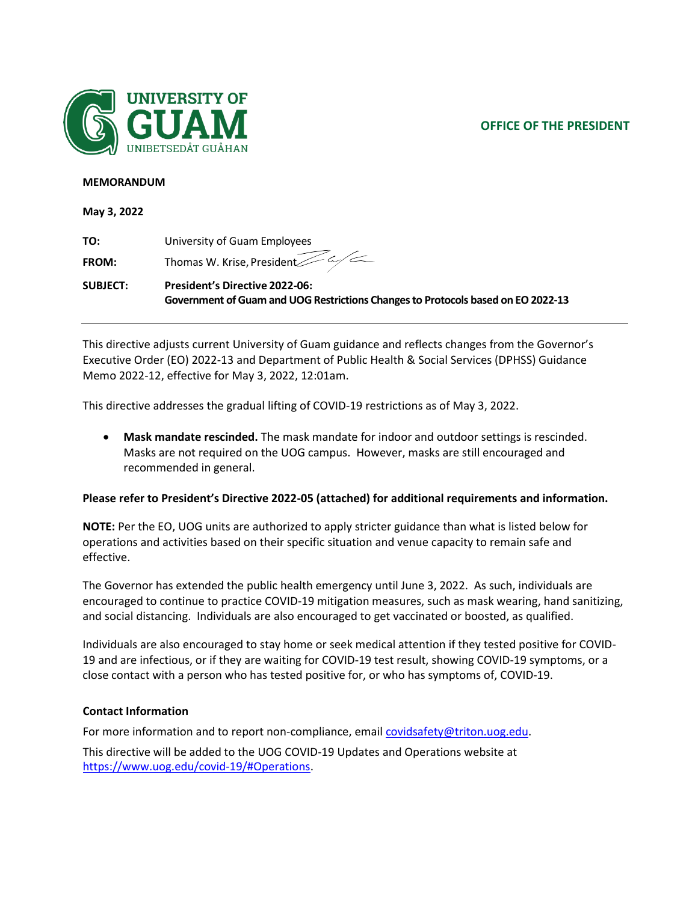# **OFFICE OF THE PRESIDENT**



#### **MEMORANDUM**

**May 3, 2022**

| TO:          | University of Guam Employees          |
|--------------|---------------------------------------|
| <b>FROM:</b> | Thomas W. Krise, President $Z \sim Z$ |

**SUBJECT: President's Directive 2022-06: Government of Guam and UOG Restrictions Changes to Protocols based on EO 2022-13**

This directive adjusts current University of Guam guidance and reflects changes from the Governor's Executive Order (EO) 2022-13 and Department of Public Health & Social Services (DPHSS) Guidance Memo 2022-12, effective for May 3, 2022, 12:01am.

This directive addresses the gradual lifting of COVID-19 restrictions as of May 3, 2022.

• **Mask mandate rescinded.** The mask mandate for indoor and outdoor settings is rescinded. Masks are not required on the UOG campus. However, masks are still encouraged and recommended in general.

### **Please refer to President's Directive 2022-05 (attached) for additional requirements and information.**

**NOTE:** Per the EO, UOG units are authorized to apply stricter guidance than what is listed below for operations and activities based on their specific situation and venue capacity to remain safe and effective.

The Governor has extended the public health emergency until June 3, 2022. As such, individuals are encouraged to continue to practice COVID-19 mitigation measures, such as mask wearing, hand sanitizing, and social distancing. Individuals are also encouraged to get vaccinated or boosted, as qualified.

Individuals are also encouraged to stay home or seek medical attention if they tested positive for COVID-19 and are infectious, or if they are waiting for COVID-19 test result, showing COVID-19 symptoms, or a close contact with a person who has tested positive for, or who has symptoms of, COVID-19.

### **Contact Information**

For more information and to report non-compliance, email [covidsafety@triton.uog.edu.](mailto:covidsafety@triton.uog.edu)

This directive will be added to the UOG COVID-19 Updates and Operations website at https:/[/www.uog.edu/covid-19/#Operations.](http://www.uog.edu/covid-19/#Operations)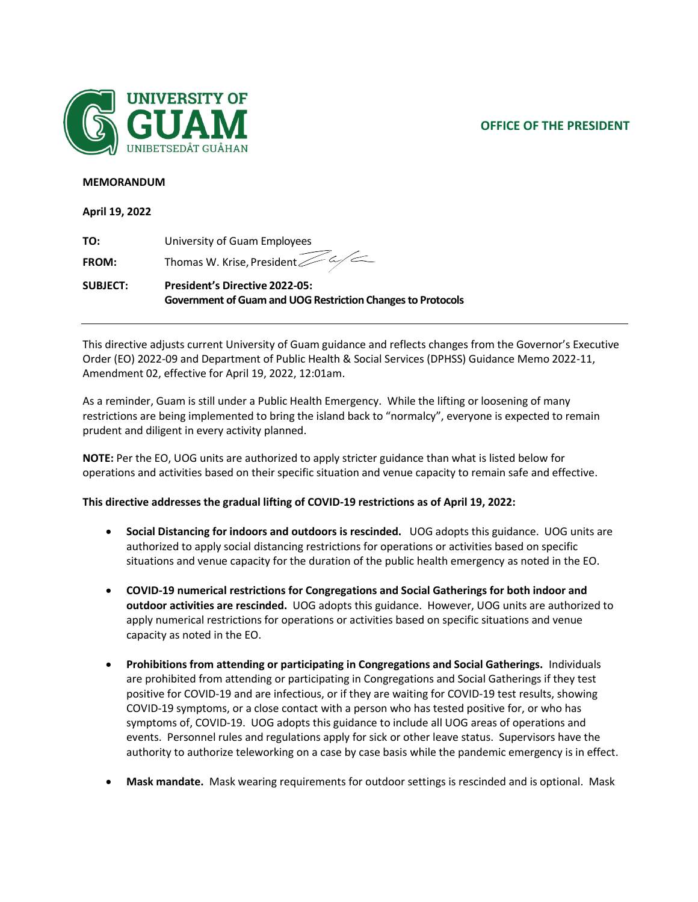# **OFFICE OF THE PRESIDENT**



#### **MEMORANDUM**

**April 19, 2022**

| TO:          | University of Guam Employees                        |
|--------------|-----------------------------------------------------|
| <b>FROM:</b> | Thomas W. Krise, President $\overline{\mathscr{L}}$ |

**SUBJECT: President's Directive 2022-05: Government of Guam and UOG Restriction Changes to Protocols**

This directive adjusts current University of Guam guidance and reflects changes from the Governor's Executive Order (EO) 2022-09 and Department of Public Health & Social Services (DPHSS) Guidance Memo 2022-11, Amendment 02, effective for April 19, 2022, 12:01am.

As a reminder, Guam is still under a Public Health Emergency. While the lifting or loosening of many restrictions are being implemented to bring the island back to "normalcy", everyone is expected to remain prudent and diligent in every activity planned.

**NOTE:** Per the EO, UOG units are authorized to apply stricter guidance than what is listed below for operations and activities based on their specific situation and venue capacity to remain safe and effective.

### **This directive addresses the gradual lifting of COVID-19 restrictions as of April 19, 2022:**

- **Social Distancing for indoors and outdoors is rescinded.** UOG adopts this guidance. UOG units are authorized to apply social distancing restrictions for operations or activities based on specific situations and venue capacity for the duration of the public health emergency as noted in the EO.
- **COVID-19 numerical restrictions for Congregations and Social Gatherings for both indoor and outdoor activities are rescinded.** UOG adopts this guidance. However, UOG units are authorized to apply numerical restrictions for operations or activities based on specific situations and venue capacity as noted in the EO.
- **Prohibitions from attending or participating in Congregations and Social Gatherings.** Individuals are prohibited from attending or participating in Congregations and Social Gatherings if they test positive for COVID-19 and are infectious, or if they are waiting for COVID-19 test results, showing COVID-19 symptoms, or a close contact with a person who has tested positive for, or who has symptoms of, COVID-19. UOG adopts this guidance to include all UOG areas of operations and events. Personnel rules and regulations apply for sick or other leave status. Supervisors have the authority to authorize teleworking on a case by case basis while the pandemic emergency is in effect.
- **Mask mandate.** Mask wearing requirements for outdoor settings is rescinded and is optional. Mask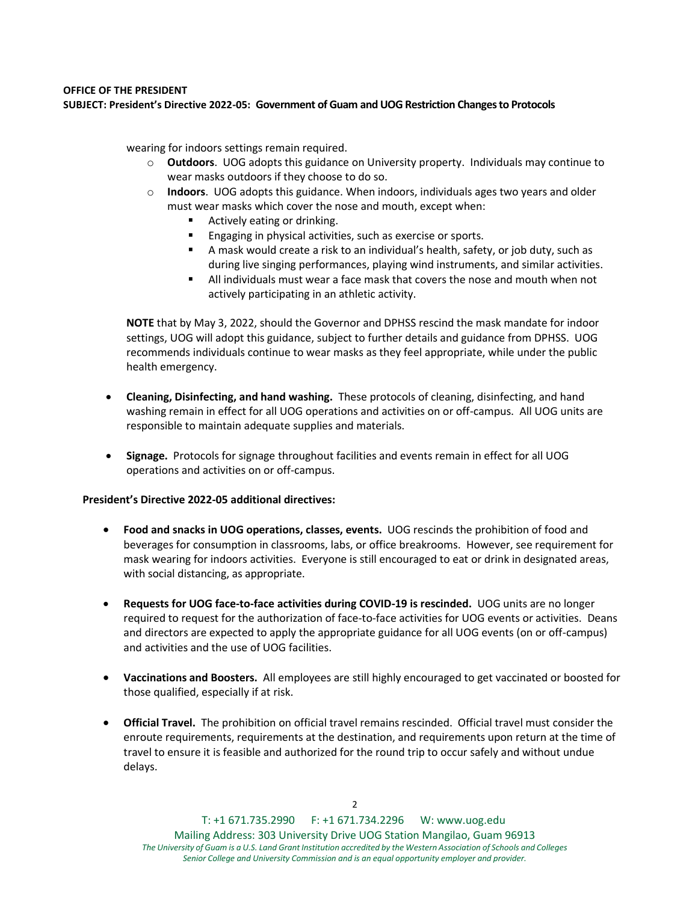### **OFFICE OF THE PRESIDENT SUBJECT: President's Directive 2022-05: Government of Guam and UOG Restriction Changes to Protocols**

wearing for indoors settings remain required.

- o **Outdoors**. UOG adopts this guidance on University property. Individuals may continue to wear masks outdoors if they choose to do so.
- o **Indoors**. UOG adopts this guidance. When indoors, individuals ages two years and older must wear masks which cover the nose and mouth, except when:
	- Actively eating or drinking.
	- Engaging in physical activities, such as exercise or sports.
	- A mask would create a risk to an individual's health, safety, or job duty, such as during live singing performances, playing wind instruments, and similar activities.
	- All individuals must wear a face mask that covers the nose and mouth when not actively participating in an athletic activity.

**NOTE** that by May 3, 2022, should the Governor and DPHSS rescind the mask mandate for indoor settings, UOG will adopt this guidance, subject to further details and guidance from DPHSS. UOG recommends individuals continue to wear masks as they feel appropriate, while under the public health emergency.

- **Cleaning, Disinfecting, and hand washing.** These protocols of cleaning, disinfecting, and hand washing remain in effect for all UOG operations and activities on or off-campus. All UOG units are responsible to maintain adequate supplies and materials.
- **Signage.** Protocols for signage throughout facilities and events remain in effect for all UOG operations and activities on or off-campus.

#### **President's Directive 2022-05 additional directives:**

- **Food and snacks in UOG operations, classes, events.** UOG rescinds the prohibition of food and beverages for consumption in classrooms, labs, or office breakrooms. However, see requirement for mask wearing for indoors activities. Everyone is still encouraged to eat or drink in designated areas, with social distancing, as appropriate.
- **Requests for UOG face-to-face activities during COVID-19 is rescinded.** UOG units are no longer required to request for the authorization of face-to-face activities for UOG events or activities. Deans and directors are expected to apply the appropriate guidance for all UOG events (on or off-campus) and activities and the use of UOG facilities.
- **Vaccinations and Boosters.** All employees are still highly encouraged to get vaccinated or boosted for those qualified, especially if at risk.
- **Official Travel.** The prohibition on official travel remains rescinded. Official travel must consider the enroute requirements, requirements at the destination, and requirements upon return at the time of travel to ensure it is feasible and authorized for the round trip to occur safely and without undue delays.